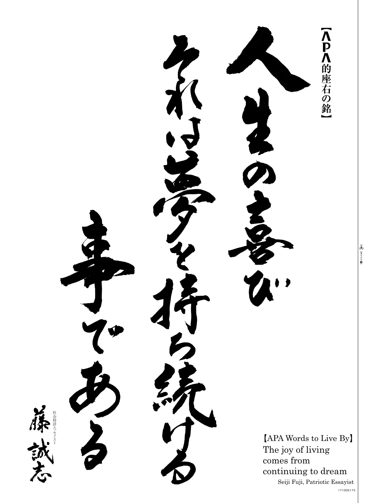△Pヘ的座右の銘 社会時評工 セイスト ッ 社会時評エ  $[APA$  Words to Live By The joy of living comes from continuing to dream Seiji Fuji, Patriotic Essayist 171005173